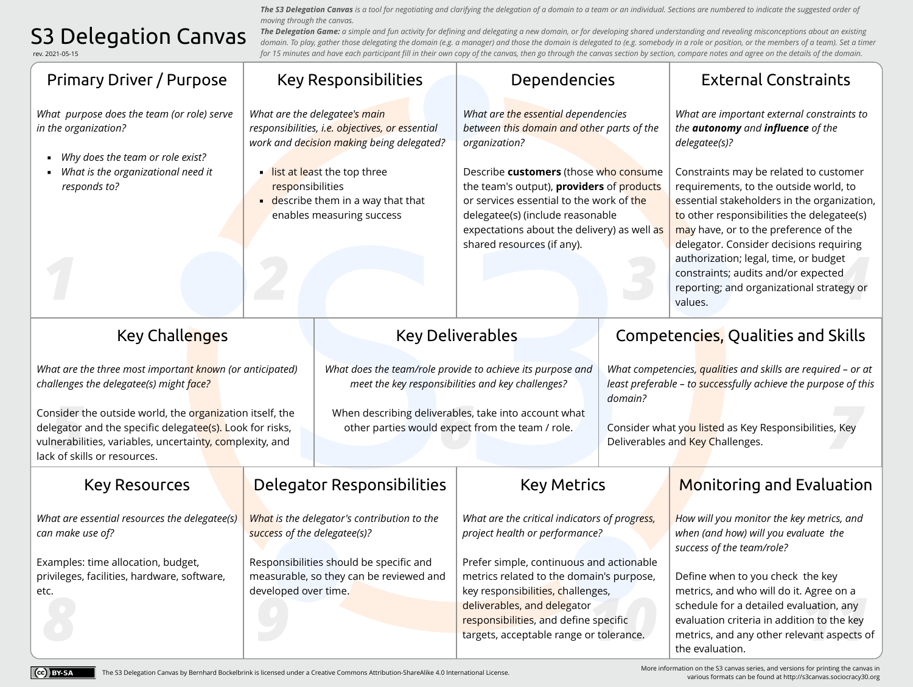## S3 Delegation Canvas

[rev. 2021-05-15](https://creativecommons.org/licenses/by-sa/4.0/)

CC BY-SA

Expectations about the denvery) as a<br>shared resources (if any).<br>Shared resources (if any).<br>Shared resources (if any).<br>Shared resources (if any).<br>Shared resources (if any).<br>Shared resources (if any).<br>Shared resources (if an authorization; legal, time, or budget<br>constraints; audits and/or expected<br>reporting; and organizational strategy or<br>values. .<br>*8*, Key r<br>Prespecific<br>Prioderance. nsider t<br>|egator<br>|nerabili<br>k of skil active performance, and delegator<br>deliverables, and delegator<br>deliverables, and define specific<br>transition criteria in addition to the key<br>targets, acceptable range or tolerance.<br>the evaluation. erables,<br>expect<br>*X* Monitoring and Evaluation Key Deliverables Primary Driver / Purpose Key Challenges Key Resources **Delegator Responsibilities** Key Metrics Key Responsibilities Dependencies External Constraints Competencies, Qualities and Skills *The Delegation Game: a simple and fun activity for defining and delegating a new domain, or for developing shared understanding and revealing misconceptions about an existing*  domain. To play, gather those delegating the domain (e.g. a manager) and those the domain is delegated to (e.g. somebody in a role or position, or the members of a team). Set a timer *for 15 minutes and have each participant fill in their own copy of the canvas, then go through the canvas section by section, compare notes and agree on the details of the domain. How will you monitor the key metrics, and when (and how) will you evaluate the success of the team/role?* Define when to you check the key metrics, and who will do it. Agree on a schedule for a detailed evaluation, any evaluation criteria in addition to the key metrics, and any other relevant aspects of the evaluation. *What competencies, qualities and skills are required – or at least preferable – to successfully achieve the purpose of this domain?*  Consider what yo<mark>u liste</mark>d as Key Responsibilities, Key Deliverables and Key Challenges. *What purpose does the team (or role) serve in the organization?* ▪ *Why does the team or role exist?* ▪ *What is the organizational need it responds to? What are the three most important known (or anticipated) challenges the delegatee(s) might face?*  Consider the outside world, the organization itself, the delegator and the specific delega<mark>tee(s).</mark> Look for risks, vulnerabilities, variables, uncertainty, complexity, and lack of skills or resources. *What is the delegator's contribution to the success of the delegatee(s)?* Responsibilities should be specific and measurable, so they can be reviewed and developed over time. *What are essential resources the delegatee(s) can make use of?*  Examples: time allocation, budget, privileges, facilities, hardware, software, etc. *What are the critical indicators of progress, project health or performance?* Prefer simple, continuous and actionable metrics related to the domain's purpose, key responsibilities, challenges, deliverables, and delegator responsibilities, and define specific targets, acceptable range or tolerance. *What are the essential dependencies between this domain and other parts of the organization?*  Describe **customers** (those who consume the team's output), **providers** of products or services essential to the work of the delegatee(s) (include reasonable expectations about the delivery) as well as shared resources (if any). *What are the delegatee's main responsibilities, i.e. objectives, or essential work and decision making being delegated?* **Ist at least the top three** responsibilities  $\blacksquare$  describe them in a way that that enables measuring success *What are important external constraints to the autonomy and influence of the delegatee(s)?*  Constraints may be related to customer requirements, to the outside world, to essential stakeholders in the organization, to other responsibilities the delegatee(s) may have, or to the preference of the delegator. Consider decisions requiring authorization; legal, time, or budget constraints; audits and/or expected reporting; and organizational strategy or values. *What does the team/role provide to achieve its purpose and meet the key responsibilities and key challenges?*  When describing deliverables, take into account what other parties would expect from the team / role.

*The S3 Delegation Canvas is a tool for negotiating and clarifying the delegation of a domain to a team or an individual. Sections are numbered to indicate the suggested order of* 

*moving through the canvas.*

[More information on the S3 canvas series, and versions for printing the canvas in](http://s3canvas.sociocracy30.org)  various formats can be found at http://s3canvas.sociocracy30.org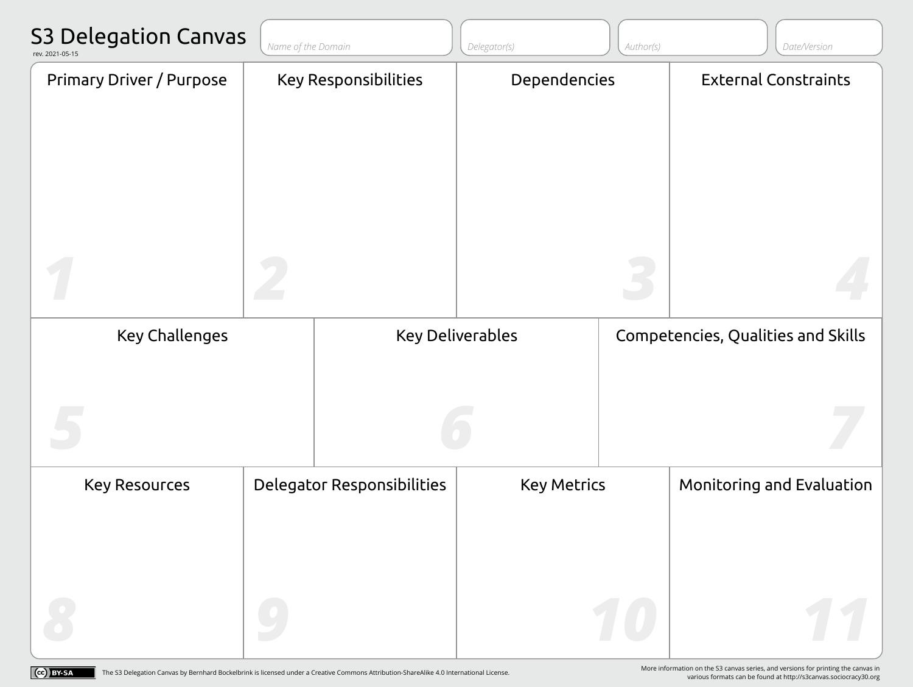| <b>S3 Delegation Canvas</b><br>rev. 2021-05-15 | Name of the Domain |                             | Delegator(s)            | Author(s) | Date/Version                       |
|------------------------------------------------|--------------------|-----------------------------|-------------------------|-----------|------------------------------------|
| <b>Primary Driver / Purpose</b>                |                    | <b>Key Responsibilities</b> | Dependencies            |           | <b>External Constraints</b>        |
|                                                |                    |                             |                         |           |                                    |
| <b>Key Challenges</b>                          |                    |                             | <b>Key Deliverables</b> |           | Competencies, Qualities and Skills |
| <b>Key Resources</b>                           |                    | Delegator Responsibilities  | <b>Key Metrics</b>      |           | Monitoring and Evaluation          |
|                                                |                    |                             |                         |           |                                    |

(cc) BY-SA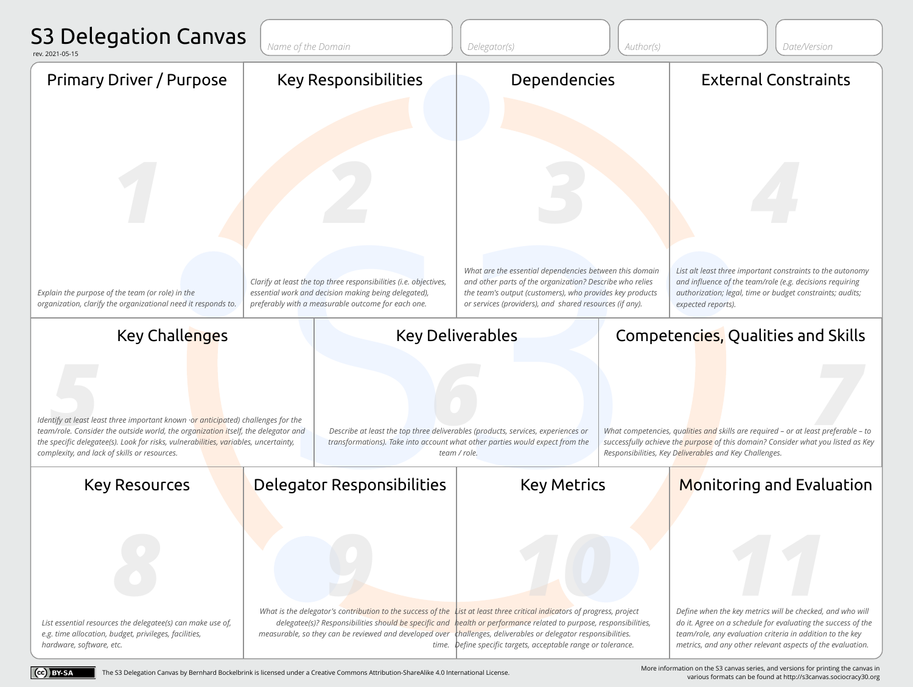

[The S3 Delegation Canvas by Bernhard Bockelbrink is licensed under a Creative Commons Attribution-ShareAlike 4.0 International License.](https://creativecommons.org/licenses/by-sa/4.0/) 

Cc BY-SA

[More information on the S3 canvas series, and versions for printing the canvas in](http://s3canvas.sociocracy30.org)  various formats can be found at http://s3canvas.sociocracy30.org